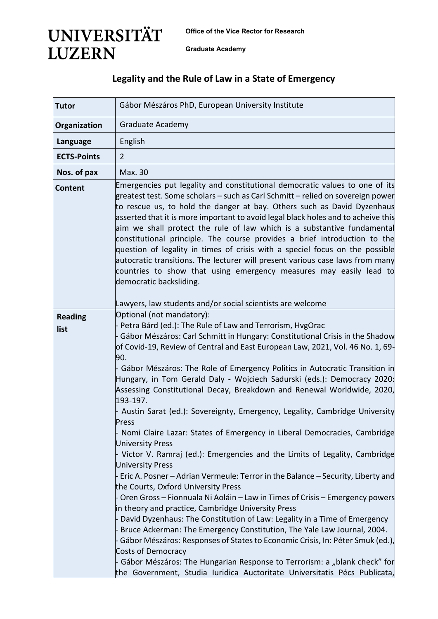**Office of the Vice Rector for Research** 

**Graduate Academy**

**UNIVERSITÄT** 

**LUZERN** 

## **Legality and the Rule of Law in a State of Emergency**

| <b>Tutor</b>           | Gábor Mészáros PhD, European University Institute                                                                                                                                                                                                                                                                                                                                                                                                                                                                                                                                                                                                                                                                                                                                                                                                                                                                                                                                                                                                                                                                                                                                                                                                                                                     |
|------------------------|-------------------------------------------------------------------------------------------------------------------------------------------------------------------------------------------------------------------------------------------------------------------------------------------------------------------------------------------------------------------------------------------------------------------------------------------------------------------------------------------------------------------------------------------------------------------------------------------------------------------------------------------------------------------------------------------------------------------------------------------------------------------------------------------------------------------------------------------------------------------------------------------------------------------------------------------------------------------------------------------------------------------------------------------------------------------------------------------------------------------------------------------------------------------------------------------------------------------------------------------------------------------------------------------------------|
| Organization           | Graduate Academy                                                                                                                                                                                                                                                                                                                                                                                                                                                                                                                                                                                                                                                                                                                                                                                                                                                                                                                                                                                                                                                                                                                                                                                                                                                                                      |
| Language               | English                                                                                                                                                                                                                                                                                                                                                                                                                                                                                                                                                                                                                                                                                                                                                                                                                                                                                                                                                                                                                                                                                                                                                                                                                                                                                               |
| <b>ECTS-Points</b>     | $\overline{2}$                                                                                                                                                                                                                                                                                                                                                                                                                                                                                                                                                                                                                                                                                                                                                                                                                                                                                                                                                                                                                                                                                                                                                                                                                                                                                        |
| Nos. of pax            | Max. 30                                                                                                                                                                                                                                                                                                                                                                                                                                                                                                                                                                                                                                                                                                                                                                                                                                                                                                                                                                                                                                                                                                                                                                                                                                                                                               |
| <b>Content</b>         | Emergencies put legality and constitutional democratic values to one of its<br>greatest test. Some scholars – such as Carl Schmitt – relied on sovereign power<br>to rescue us, to hold the danger at bay. Others such as David Dyzenhaus<br>asserted that it is more important to avoid legal black holes and to acheive this<br>aim we shall protect the rule of law which is a substantive fundamental<br>constitutional principle. The course provides a brief introduction to the<br>question of legality in times of crisis with a speciel focus on the possible<br>autocratic transitions. The lecturer will present various case laws from many<br>countries to show that using emergency measures may easily lead to<br>democratic backsliding.                                                                                                                                                                                                                                                                                                                                                                                                                                                                                                                                              |
|                        | Lawyers, law students and/or social scientists are welcome<br>Optional (not mandatory):                                                                                                                                                                                                                                                                                                                                                                                                                                                                                                                                                                                                                                                                                                                                                                                                                                                                                                                                                                                                                                                                                                                                                                                                               |
| <b>Reading</b><br>list | - Petra Bárd (ed.): The Rule of Law and Terrorism, HvgOrac<br>- Gábor Mészáros: Carl Schmitt in Hungary: Constitutional Crisis in the Shadow<br>of Covid-19, Review of Central and East European Law, 2021, Vol. 46 No. 1, 69-<br>90.<br>- Gábor Mészáros: The Role of Emergency Politics in Autocratic Transition in<br>Hungary, in Tom Gerald Daly - Wojciech Sadurski (eds.): Democracy 2020:<br>Assessing Constitutional Decay, Breakdown and Renewal Worldwide, 2020,<br>193-197.<br>Austin Sarat (ed.): Sovereignty, Emergency, Legality, Cambridge University<br>Press<br>Nomi Claire Lazar: States of Emergency in Liberal Democracies, Cambridge<br><b>University Press</b><br>Victor V. Ramraj (ed.): Emergencies and the Limits of Legality, Cambridge<br><b>University Press</b><br>Eric A. Posner - Adrian Vermeule: Terror in the Balance - Security, Liberty and<br>the Courts, Oxford University Press<br>Oren Gross - Fionnuala Ni Aoláin - Law in Times of Crisis - Emergency powers<br>in theory and practice, Cambridge University Press<br>David Dyzenhaus: The Constitution of Law: Legality in a Time of Emergency<br>Bruce Ackerman: The Emergency Constitution, The Yale Law Journal, 2004.<br>Gábor Mészáros: Responses of States to Economic Crisis, In: Péter Smuk (ed.), |
|                        | Costs of Democracy<br>Gábor Mészáros: The Hungarian Response to Terrorism: a "blank check" for<br>the Government, Studia Iuridica Auctoritate Universitatis Pécs Publicata,                                                                                                                                                                                                                                                                                                                                                                                                                                                                                                                                                                                                                                                                                                                                                                                                                                                                                                                                                                                                                                                                                                                           |